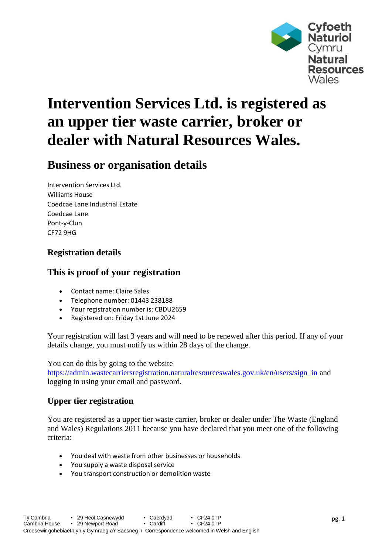

# **Intervention Services Ltd. is registered as an upper tier waste carrier, broker or dealer with Natural Resources Wales.**

## **Business or organisation details**

Intervention Services Ltd. Williams House Coedcae Lane Industrial Estate Coedcae Lane Pont-y-Clun CF72 9HG

#### **Registration details**

### **This is proof of your registration**

- Contact name: Claire Sales
- Telephone number: 01443 238188
- Your registration number is: CBDU2659
- Registered on: Friday 1st June 2024

Your registration will last 3 years and will need to be renewed after this period. If any of your details change, you must notify us within 28 days of the change.

You can do this by going to the website

[https://admin.wastecarriersregistration.naturalresourceswales.gov.uk/en/users/sign\\_in](https://admin.wastecarriersregistration.naturalresourceswales.gov.uk/en/users/sign_in) and logging in using your email and password.

#### **Upper tier registration**

You are registered as a upper tier waste carrier, broker or dealer under The Waste (England and Wales) Regulations 2011 because you have declared that you meet one of the following criteria:

- You deal with waste from other businesses or households
- You supply a waste disposal service
- You transport construction or demolition waste